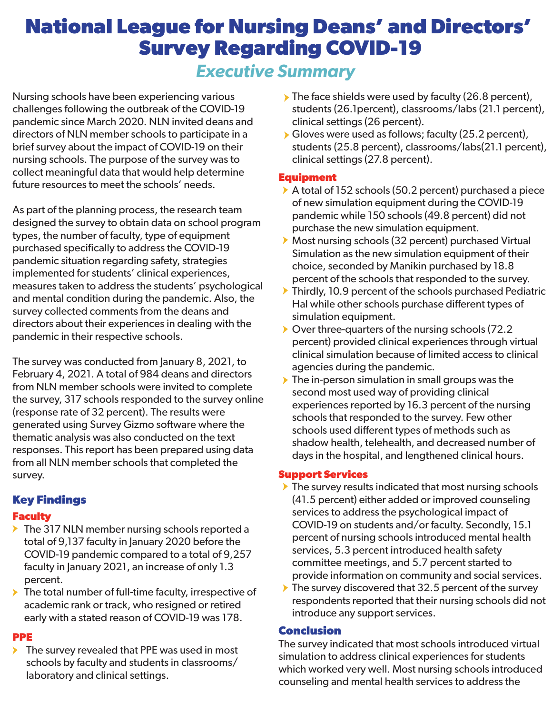# **National League for Nursing Deans' and Directors' Survey Regarding COVID-19**

# *Executive Summary*

Nursing schools have been experiencing various challenges following the outbreak of the COVID-19 pandemic since March 2020. NLN invited deans and directors of NLN member schools to participate in a brief survey about the impact of COVID-19 on their nursing schools. The purpose of the survey was to collect meaningful data that would help determine future resources to meet the schools' needs.

As part of the planning process, the research team designed the survey to obtain data on school program types, the number of faculty, type of equipment purchased specifically to address the COVID-19 pandemic situation regarding safety, strategies implemented for students' clinical experiences, measures taken to address the students' psychological and mental condition during the pandemic. Also, the survey collected comments from the deans and directors about their experiences in dealing with the pandemic in their respective schools.

The survey was conducted from January 8, 2021, to February 4, 2021. A total of 984 deans and directors from NLN member schools were invited to complete the survey, 317 schools responded to the survey online (response rate of 32 percent). The results were generated using Survey Gizmo software where the thematic analysis was also conducted on the text responses. This report has been prepared using data from all NLN member schools that completed the survey.

#### **Key Findings**

#### **Faculty**

- The 317 NLN member nursing schools reported a total of 9,137 faculty in January 2020 before the COVID-19 pandemic compared to a total of 9,257 faculty in January 2021, an increase of only 1.3 percent.
- ▶ The total number of full-time faculty, irrespective of academic rank or track, who resigned or retired early with a stated reason of COVID-19 was 178.

#### **PPE**

 $\blacktriangleright$  The survey revealed that PPE was used in most schools by faculty and students in classrooms/ laboratory and clinical settings.

- $\triangleright$  The face shields were used by faculty (26.8 percent), students (26.1percent), classrooms/labs (21.1 percent), clinical settings (26 percent).
- Gloves were used as follows; faculty (25.2 percent), students (25.8 percent), classrooms/labs(21.1 percent), clinical settings (27.8 percent).

#### **Equipment**

- A total of 152 schools (50.2 percent) purchased a piece of new simulation equipment during the COVID-19 pandemic while 150 schools (49.8 percent) did not purchase the new simulation equipment.
- Most nursing schools (32 percent) purchased Virtual Simulation as the new simulation equipment of their choice, seconded by Manikin purchased by 18.8 percent of the schools that responded to the survey.
- Thirdly, 10.9 percent of the schools purchased Pediatric Hal while other schools purchase different types of simulation equipment.
- ▶ Over three-quarters of the nursing schools (72.2 percent) provided clinical experiences through virtual clinical simulation because of limited access to clinical agencies during the pandemic.
- $\triangleright$  The in-person simulation in small groups was the second most used way of providing clinical experiences reported by 16.3 percent of the nursing schools that responded to the survey. Few other schools used different types of methods such as shadow health, telehealth, and decreased number of days in the hospital, and lengthened clinical hours.

## **Support Services**

- $\blacktriangleright$  The survey results indicated that most nursing schools (41.5 percent) either added or improved counseling services to address the psychological impact of COVID-19 on students and/or faculty. Secondly, 15.1 percent of nursing schools introduced mental health services, 5.3 percent introduced health safety committee meetings, and 5.7 percent started to provide information on community and social services.
- $\blacktriangleright$  The survey discovered that 32.5 percent of the survey respondents reported that their nursing schools did not introduce any support services.

## **Conclusion**

The survey indicated that most schools introduced virtual simulation to address clinical experiences for students which worked very well. Most nursing schools introduced counseling and mental health services to address the